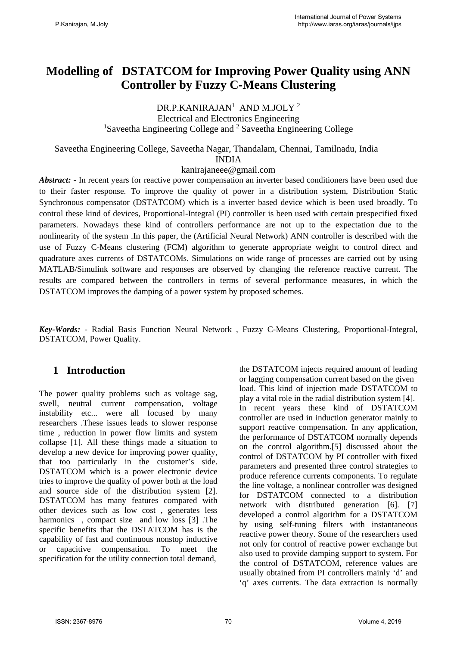# **Modelling of DSTATCOM for Improving Power Quality using ANN Controller by Fuzzy C-Means Clustering**

DR.P.KANIRAJAN<sup>1</sup> AND M.JOLY<sup>2</sup>

Electrical and Electronics Engineering <sup>1</sup>Saveetha Engineering College and <sup>2</sup> Saveetha Engineering College

Saveetha Engineering College, Saveetha Nagar, Thandalam, Chennai, Tamilnadu, India INDIA

kanirajaneee@gmail.com

*Abstract: -* In recent years for reactive power compensation an inverter based conditioners have been used due to their faster response. To improve the quality of power in a distribution system, Distribution Static Synchronous compensator (DSTATCOM) which is a inverter based device which is been used broadly. To control these kind of devices, Proportional-Integral (PI) controller is been used with certain prespecified fixed parameters. Nowadays these kind of controllers performance are not up to the expectation due to the nonlinearity of the system .In this paper, the (Artificial Neural Network) ANN controller is described with the use of Fuzzy C-Means clustering (FCM) algorithm to generate appropriate weight to control direct and quadrature axes currents of DSTATCOMs. Simulations on wide range of processes are carried out by using MATLAB/Simulink software and responses are observed by changing the reference reactive current. The results are compared between the controllers in terms of several performance measures, in which the DSTATCOM improves the damping of a power system by proposed schemes.

*Key-Words: -* Radial Basis Function Neural Network , Fuzzy C-Means Clustering, Proportional-Integral, DSTATCOM, Power Quality.

## **1 Introduction**

The power quality problems such as voltage sag. swell, neutral current compensation, voltage instability etc... were all focused by many researchers .These issues leads to slower response time , reduction in power flow limits and system collapse [1]. All these things made a situation to develop a new device for improving power quality, that too particularly in the customer's side. DSTATCOM which is a power electronic device tries to improve the quality of power both at the load and source side of the distribution system [2]. DSTATCOM has many features compared with other devices such as low cost , generates less harmonics, compact size and low loss [3]. The specific benefits that the DSTATCOM has is the capability of fast and continuous nonstop inductive capacitive compensation. To meet the specification for the utility connection total demand,

the DSTATCOM injects required amount of leading or lagging compensation current based on the given load. This kind of injection made DSTATCOM to play a vital role in the radial distribution system [4]. In recent years these kind of DSTATCOM controller are used in induction generator mainly to support reactive compensation. In any application, the performance of DSTATCOM normally depends on the control algorithm.[5] discussed about the control of DSTATCOM by PI controller with fixed parameters and presented three control strategies to produce reference currents components. To regulate the line voltage, a nonlinear controller was designed for DSTATCOM connected to a distribution network with distributed generation [6]. [7] developed a control algorithm for a DSTATCOM by using self-tuning filters with instantaneous reactive power theory. Some of the researchers used not only for control of reactive power exchange but also used to provide damping support to system. For the control of DSTATCOM, reference values are usually obtained from PI controllers mainly 'd' and 'q' axes currents. The data extraction is normally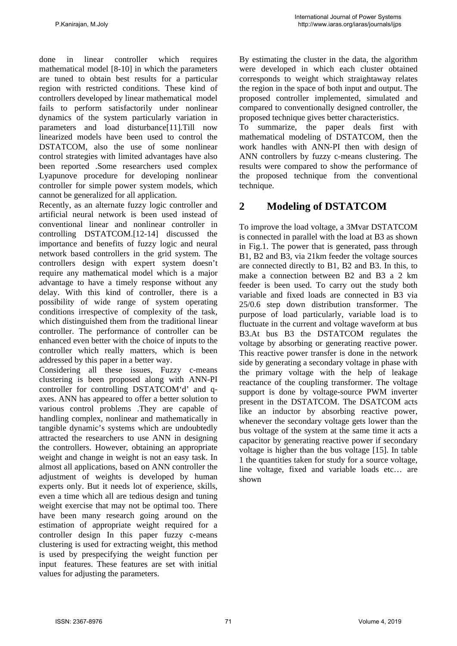done in linear controller which requires mathematical model [8-10] in which the parameters are tuned to obtain best results for a particular region with restricted conditions. These kind of controllers developed by linear mathematical model fails to perform satisfactorily under nonlinear dynamics of the system particularly variation in parameters and load disturbance[11].Till now linearized models have been used to control the DSTATCOM, also the use of some nonlinear control strategies with limited advantages have also been reported .Some researchers used complex Lyapunove procedure for developing nonlinear controller for simple power system models, which cannot be generalized for all application.

Recently, as an alternate fuzzy logic controller and artificial neural network is been used instead of conventional linear and nonlinear controller in controlling DSTATCOM.[12-14] discussed the importance and benefits of fuzzy logic and neural network based controllers in the grid system. The controllers design with expert system doesn't require any mathematical model which is a major advantage to have a timely response without any delay. With this kind of controller, there is a possibility of wide range of system operating conditions irrespective of complexity of the task, which distinguished them from the traditional linear controller. The performance of controller can be enhanced even better with the choice of inputs to the controller which really matters, which is been addressed by this paper in a better way.

Considering all these issues, Fuzzy c-means clustering is been proposed along with ANN-PI controller for controlling DSTATCOM'd' and qaxes. ANN has appeared to offer a better solution to various control problems .They are capable of handling complex, nonlinear and mathematically in tangible dynamic's systems which are undoubtedly attracted the researchers to use ANN in designing the controllers. However, obtaining an appropriate weight and change in weight is not an easy task. In almost all applications, based on ANN controller the adjustment of weights is developed by human experts only. But it needs lot of experience, skills, even a time which all are tedious design and tuning weight exercise that may not be optimal too. There have been many research going around on the estimation of appropriate weight required for a controller design In this paper fuzzy c-means clustering is used for extracting weight, this method is used by prespecifying the weight function per input features. These features are set with initial values for adjusting the parameters.

By estimating the cluster in the data, the algorithm were developed in which each cluster obtained corresponds to weight which straightaway relates the region in the space of both input and output. The proposed controller implemented, simulated and compared to conventionally designed controller, the proposed technique gives better characteristics.

To summarize, the paper deals first with mathematical modeling of DSTATCOM, then the work handles with ANN-PI then with design of ANN controllers by fuzzy c-means clustering. The results were compared to show the performance of the proposed technique from the conventional technique.

# **2 Modeling of DSTATCOM**

To improve the load voltage, a 3Mvar DSTATCOM is connected in parallel with the load at B3 as shown in Fig.1. The power that is generated, pass through B1, B2 and B3, via 21km feeder the voltage sources are connected directly to B1, B2 and B3. In this, to make a connection between B2 and B3 a 2 km feeder is been used. To carry out the study both variable and fixed loads are connected in B3 via 25/0.6 step down distribution transformer. The purpose of load particularly, variable load is to fluctuate in the current and voltage waveform at bus B3.At bus B3 the DSTATCOM regulates the voltage by absorbing or generating reactive power. This reactive power transfer is done in the network side by generating a secondary voltage in phase with the primary voltage with the help of leakage reactance of the coupling transformer. The voltage support is done by voltage-source PWM inverter present in the DSTATCOM. The DSATCOM acts like an inductor by absorbing reactive power, whenever the secondary voltage gets lower than the bus voltage of the system at the same time it acts a capacitor by generating reactive power if secondary voltage is higher than the bus voltage [15]. In table 1 the quantities taken for study for a source voltage, line voltage, fixed and variable loads etc… are shown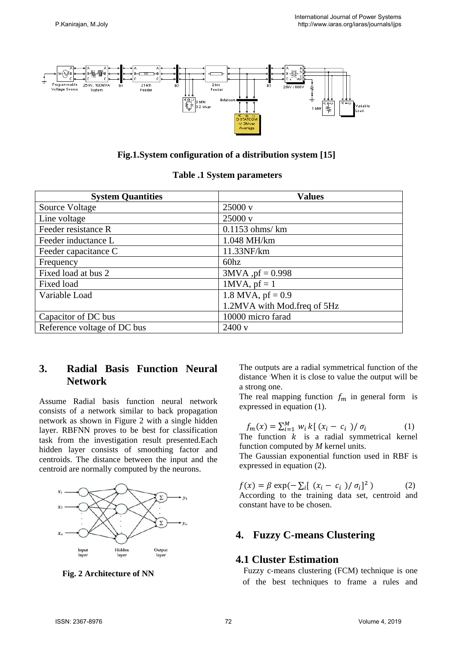

#### **Fig.1.System configuration of a distribution system [15]**

| <b>System Quantities</b>    | <b>Values</b>               |
|-----------------------------|-----------------------------|
| Source Voltage              | $25000 \text{ v}$           |
| Line voltage                | 25000 v                     |
| Feeder resistance R         | $0.1153$ ohms/ $km$         |
| Feeder inductance L         | 1.048 MH/km                 |
| Feeder capacitance C        | 11.33NF/km                  |
| Frequency                   | 60hz                        |
| Fixed load at bus 2         | $3MVA$ , $pf = 0.998$       |
| Fixed load                  | $1$ MVA, pf = 1             |
| Variable Load               | 1.8 MVA, $pf = 0.9$         |
|                             | 1.2MVA with Mod.freq of 5Hz |
| Capacitor of DC bus         | 10000 micro farad           |
| Reference voltage of DC bus | 2400v                       |

## **3. Radial Basis Function Neural Network**

Assume Radial basis function neural network consists of a network similar to back propagation network as shown in Figure 2 with a single hidden layer. RBFNN proves to be best for classification task from the investigation result presented.Each hidden layer consists of smoothing factor and centroids. The distance between the input and the centroid are normally computed by the neurons.



 **Fig. 2 Architecture of NN** 

The outputs are a radial symmetrical function of the distance . When it is close to value the output will be a strong one.

The real mapping function  $f_m$  in general form is expressed in equation (1).

$$
f_m(x) = \sum_{i=1}^{M} w_i k [ (x_i - c_i ) / \sigma_i ]
$$
 (1)

The function  $k$  is a radial symmetrical kernel function computed by *M* kernel units.

The Gaussian exponential function used in RBF is expressed in equation (2).

 $f(x) = \beta \exp(-\sum_{i} [(x_i - c_i)/\sigma_i]^2)$  (2) According to the training data set, centroid and constant have to be chosen.

#### **4. Fuzzy C-means Clustering**

### **4.1 Cluster Estimation**

 Fuzzy c-means clustering (FCM) technique is one of the best techniques to frame a rules and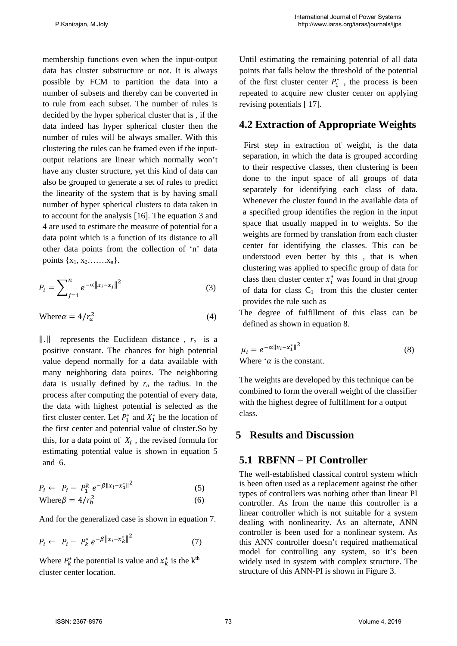membership functions even when the input-output data has cluster substructure or not. It is always possible by FCM to partition the data into a number of subsets and thereby can be converted in to rule from each subset. The number of rules is decided by the hyper spherical cluster that is , if the data indeed has hyper spherical cluster then the number of rules will be always smaller. With this clustering the rules can be framed even if the inputoutput relations are linear which normally won't have any cluster structure, yet this kind of data can also be grouped to generate a set of rules to predict the linearity of the system that is by having small number of hyper spherical clusters to data taken in to account for the analysis [16]. The equation 3 and 4 are used to estimate the measure of potential for a data point which is a function of its distance to all other data points from the collection of 'n' data points  $\{x_1, x_2, \ldots, x_n\}$ .

$$
P_i = \sum_{j=1}^{n} e^{-\alpha ||x_i - x_j||^2}
$$
 (3)

$$
Where \alpha = 4/r_a^2 \tag{4}
$$

 $\|\cdot\|$  represents the Euclidean distance,  $r_a$  is a positive constant. The chances for high potential value depend normally for a data available with many neighboring data points. The neighboring data is usually defined by  $r_a$  the radius. In the process after computing the potential of every data, the data with highest potential is selected as the first cluster center. Let  $P_1^*$  and  $X_1^*$  be the location of the first center and potential value of cluster.So by this, for a data point of  $X_i$ , the revised formula for estimating potential value is shown in equation 5 and 6.

$$
P_i \leftarrow P_i - P_1^k e^{-\beta \|x_i - x_1^*\|^2}
$$
 (5)

$$
Where \beta = 4/r_b^2 \tag{6}
$$

And for the generalized case is shown in equation 7.

$$
P_i \leftarrow P_i - P_k^* e^{-\beta \|x_i - x_k^*\|^2} \tag{7}
$$

Where  $P_k^*$  the potential is value and  $x_k^*$  is the k<sup>th</sup> cluster center location.

Until estimating the remaining potential of all data points that falls below the threshold of the potential of the first cluster center  $P_1^*$ , the process is been repeated to acquire new cluster center on applying revising potentials [ 17].

## **4.2 Extraction of Appropriate Weights**

 First step in extraction of weight, is the data separation, in which the data is grouped according to their respective classes, then clustering is been done to the input space of all groups of data separately for identifying each class of data. Whenever the cluster found in the available data of a specified group identifies the region in the input space that usually mapped in to weights. So the weights are formed by translation from each cluster center for identifying the classes. This can be understood even better by this , that is when clustering was applied to specific group of data for class then cluster center  $x_i^*$  was found in that group of data for class  $C_1$  from this the cluster center provides the rule such as

The degree of fulfillment of this class can be defined as shown in equation 8.

$$
\mu_i = e^{-\alpha ||x_i - x_1||^2}
$$
\nWhere 'α is the constant.

\n(8)

The weights are developed by this technique can be combined to form the overall weight of the classifier with the highest degree of fulfillment for a output class.

## **5 Results and Discussion**

## **5.1 RBFNN – PI Controller**

The well-established classical control system which is been often used as a replacement against the other types of controllers was nothing other than linear PI controller. As from the name this controller is a linear controller which is not suitable for a system dealing with nonlinearity. As an alternate, ANN controller is been used for a nonlinear system. As this ANN controller doesn't required mathematical model for controlling any system, so it's been widely used in system with complex structure. The structure of this ANN-PI is shown in Figure 3.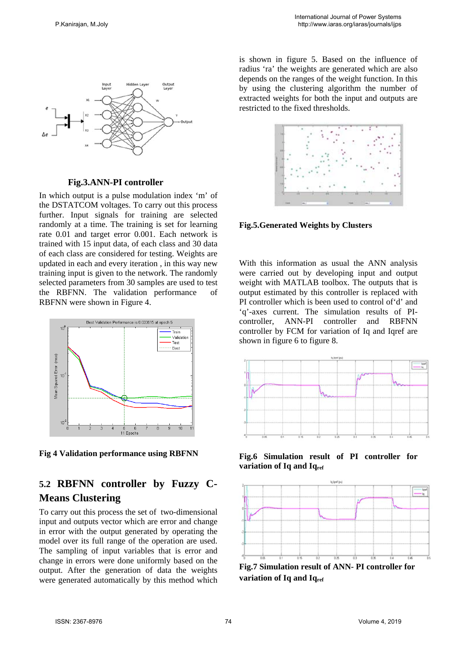

 **Fig.3.ANN-PI controller** 

In which output is a pulse modulation index 'm' of the DSTATCOM voltages. To carry out this process further. Input signals for training are selected randomly at a time. The training is set for learning rate 0.01 and target error 0.001. Each network is trained with 15 input data, of each class and 30 data of each class are considered for testing. Weights are updated in each and every iteration , in this way new training input is given to the network. The randomly selected parameters from 30 samples are used to test the RBFNN. The validation performance of RBFNN were shown in Figure 4.



**Fig 4 Validation performance using RBFNN** 

# **5.2 RBFNN controller by Fuzzy C-Means Clustering**

To carry out this process the set of two-dimensional input and outputs vector which are error and change in error with the output generated by operating the model over its full range of the operation are used. The sampling of input variables that is error and change in errors were done uniformly based on the output. After the generation of data the weights were generated automatically by this method which is shown in figure 5. Based on the influence of radius 'ra' the weights are generated which are also depends on the ranges of the weight function. In this by using the clustering algorithm the number of extracted weights for both the input and outputs are restricted to the fixed thresholds.



**Fig.5.Generated Weights by Clusters** 

With this information as usual the ANN analysis were carried out by developing input and output weight with MATLAB toolbox. The outputs that is output estimated by this controller is replaced with PI controller which is been used to control of'd' and 'q'-axes current. The simulation results of PIcontroller, ANN-PI controller and RBFNN controller by FCM for variation of Iq and Iqref are shown in figure 6 to figure 8.



**Fig.6 Simulation result of PI controller for**  variation of Iq and Iq<sub>ref</sub>



**Fig.7 Simulation result of ANN- PI controller for**  variation of Iq and Iq<sub>ref</sub>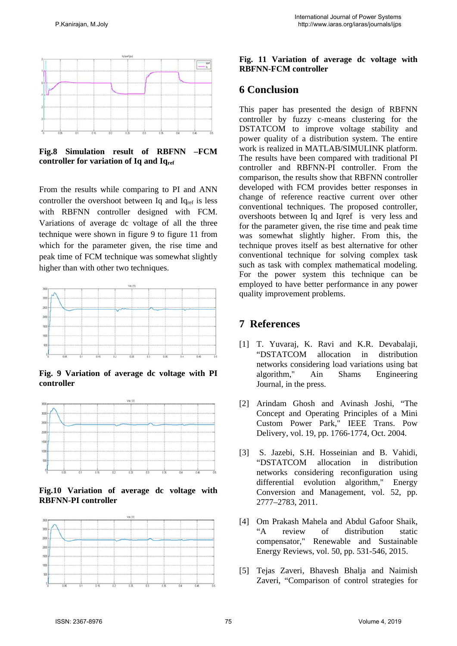

**Fig.8 Simulation result of RBFNN –FCM**  controller for variation of Iq and Iq<sub>ref</sub>

From the results while comparing to PI and ANN controller the overshoot between Iq and  $I<sub>qref</sub>$  is less with RBFNN controller designed with FCM. Variations of average dc voltage of all the three technique were shown in figure 9 to figure 11 from which for the parameter given, the rise time and peak time of FCM technique was somewhat slightly higher than with other two techniques.



**Fig. 9 Variation of average dc voltage with PI controller** 



**Fig.10 Variation of average dc voltage with RBFNN-PI controller** 



#### **Fig. 11 Variation of average dc voltage with RBFNN-FCM controller**

#### **6 Conclusion**

This paper has presented the design of RBFNN controller by fuzzy c-means clustering for the DSTATCOM to improve voltage stability and power quality of a distribution system. The entire work is realized in MATLAB/SIMULINK platform. The results have been compared with traditional PI controller and RBFNN-PI controller. From the comparison, the results show that RBFNN controller developed with FCM provides better responses in change of reference reactive current over other conventional techniques. The proposed controller, overshoots between Iq and Iqref is very less and for the parameter given, the rise time and peak time was somewhat slightly higher. From this, the technique proves itself as best alternative for other conventional technique for solving complex task such as task with complex mathematical modeling. For the power system this technique can be employed to have better performance in any power quality improvement problems.

### **7 References**

- [1] T. Yuvaraj, K. Ravi and K.R. Devabalaji, "DSTATCOM allocation in distribution networks considering load variations using bat algorithm," Ain Shams Engineering Journal, in the press.
- [2] Arindam Ghosh and Avinash Joshi, "The Concept and Operating Principles of a Mini Custom Power Park," IEEE Trans. Pow Delivery, vol. 19, pp. 1766-1774, Oct. 2004.
- [3] S. Jazebi, S.H. Hosseinian and B. Vahidi, "DSTATCOM allocation in distribution networks considering reconfiguration using differential evolution algorithm," Energy Conversion and Management, vol. 52, pp. 2777–2783, 2011.
- [4] Om Prakash Mahela and Abdul Gafoor Shaik, "A review of distribution static compensator," Renewable and Sustainable Energy Reviews, vol. 50, pp. 531-546, 2015.
- [5] Tejas Zaveri, Bhavesh Bhalja and Naimish Zaveri, "Comparison of control strategies for